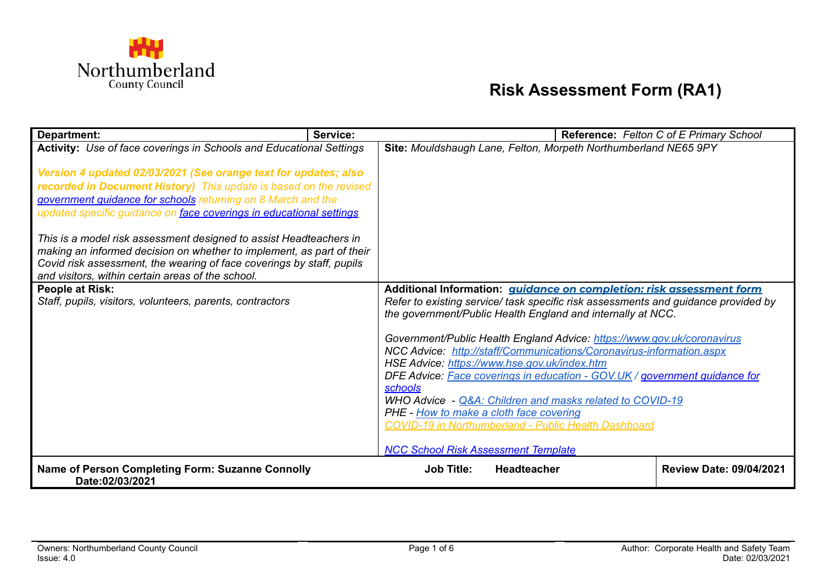

## **Risk Assessment Form (RA1)**

| <b>Department:</b>                                                                                                                                                                                                                                                                                                                                                                                                                                                                                                                                                         | Service: |                                                                                                                                                                                                                                                                                                                                                                                                                                                                                        |             | Reference: Felton C of E Primary School                                                                                                                                                                                                  |
|----------------------------------------------------------------------------------------------------------------------------------------------------------------------------------------------------------------------------------------------------------------------------------------------------------------------------------------------------------------------------------------------------------------------------------------------------------------------------------------------------------------------------------------------------------------------------|----------|----------------------------------------------------------------------------------------------------------------------------------------------------------------------------------------------------------------------------------------------------------------------------------------------------------------------------------------------------------------------------------------------------------------------------------------------------------------------------------------|-------------|------------------------------------------------------------------------------------------------------------------------------------------------------------------------------------------------------------------------------------------|
| Activity: Use of face coverings in Schools and Educational Settings<br>Version 4 updated 02/03/2021 (See orange text for updates; also<br>recorded in Document History) This update is based on the revised<br>government guidance for schools returning on 8 March and the<br>updated specific guidance on face coverings in educational settings<br>This is a model risk assessment designed to assist Headteachers in<br>making an informed decision on whether to implement, as part of their<br>Covid risk assessment, the wearing of face coverings by staff, pupils |          | Site: Mouldshaugh Lane, Felton, Morpeth Northumberland NE65 9PY                                                                                                                                                                                                                                                                                                                                                                                                                        |             |                                                                                                                                                                                                                                          |
| and visitors, within certain areas of the school.<br><b>People at Risk:</b><br>Staff, pupils, visitors, volunteers, parents, contractors                                                                                                                                                                                                                                                                                                                                                                                                                                   |          | the government/Public Health England and internally at NCC.<br>Government/Public Health England Advice: https://www.gov.uk/coronavirus<br>NCC Advice: http://staff/Communications/Coronavirus-information.aspx<br>HSE Advice: https://www.hse.gov.uk/index.htm<br>schools<br>WHO Advice - Q&A: Children and masks related to COVID-19<br>PHE - How to make a cloth face covering<br>COVID-19 in Northumberland - Public Health Dashboard<br><b>NCC School Risk Assessment Template</b> |             | Additional Information: guidance on completion: risk assessment form<br>Refer to existing service/ task specific risk assessments and guidance provided by<br>DFE Advice: Face coverings in education - GOV.UK / government guidance for |
| Name of Person Completing Form: Suzanne Connolly<br>Date:02/03/2021                                                                                                                                                                                                                                                                                                                                                                                                                                                                                                        |          | <b>Job Title:</b>                                                                                                                                                                                                                                                                                                                                                                                                                                                                      | Headteacher | <b>Review Date: 09/04/2021</b>                                                                                                                                                                                                           |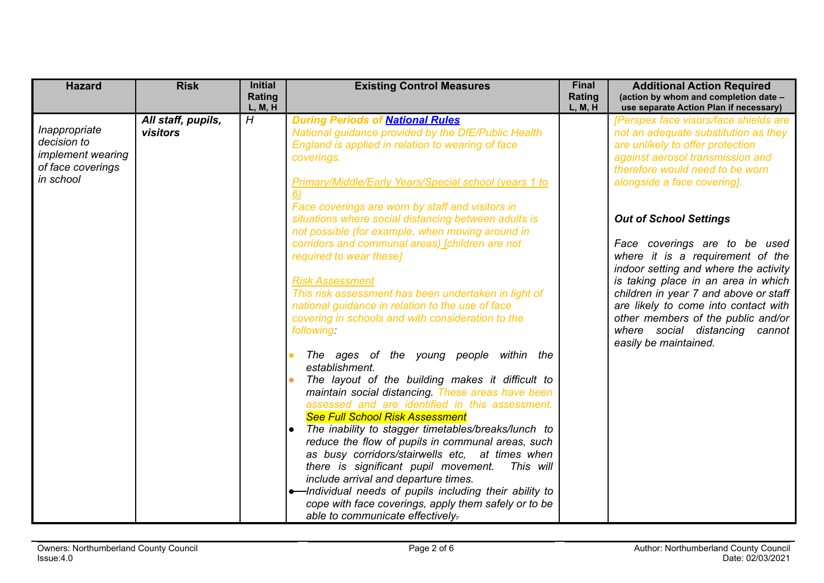<span id="page-1-0"></span>

| <b>Hazard</b>                                                                              | <b>Risk</b>                    | <b>Initial</b><br><b>Rating</b><br>L, M, H | <b>Existing Control Measures</b>                                                                                                                                                                                                                                                                                                                                                                                                                                                                                                                                                                                                                                                                                                                                                                                                                                                                                                                                                                                                                                                                                                                                                                                                                                                                                                                                                                 | <b>Final</b><br><b>Rating</b><br>L, M, H | <b>Additional Action Required</b><br>(action by whom and completion date -<br>use separate Action Plan if necessary)                                                                                                                                                                                                                                                                                                                                                                                                                                                                            |
|--------------------------------------------------------------------------------------------|--------------------------------|--------------------------------------------|--------------------------------------------------------------------------------------------------------------------------------------------------------------------------------------------------------------------------------------------------------------------------------------------------------------------------------------------------------------------------------------------------------------------------------------------------------------------------------------------------------------------------------------------------------------------------------------------------------------------------------------------------------------------------------------------------------------------------------------------------------------------------------------------------------------------------------------------------------------------------------------------------------------------------------------------------------------------------------------------------------------------------------------------------------------------------------------------------------------------------------------------------------------------------------------------------------------------------------------------------------------------------------------------------------------------------------------------------------------------------------------------------|------------------------------------------|-------------------------------------------------------------------------------------------------------------------------------------------------------------------------------------------------------------------------------------------------------------------------------------------------------------------------------------------------------------------------------------------------------------------------------------------------------------------------------------------------------------------------------------------------------------------------------------------------|
| Inappropriate<br>decision to<br><i>implement</i> wearing<br>of face coverings<br>in school | All staff, pupils,<br>visitors | $\overline{H}$                             | <b>During Periods of National Rules</b><br>National guidance provided by the DfE/Public Health<br>England is applied in relation to wearing of face<br>coverings.<br>Primary/Middle/Early Years/Special school (years 1 to<br>Face coverings are worn by staff and visitors in<br>situations where social distancing between adults is<br>not possible (for example, when moving around in<br>corridors and communal areas) [children are not<br>required to wear these]<br><b>Risk Assessment</b><br>This risk assessment has been undertaken in light of<br>national guidance in relation to the use of face<br>covering in schools and with consideration to the<br>following:<br>The ages of the young people within the<br>establishment.<br>The layout of the building makes it difficult to<br>maintain social distancing. These areas have been<br>assessed and are identified in this assessment.<br><b>See Full School Risk Assessment</b><br>The inability to stagger timetables/breaks/lunch to<br>$\bullet$<br>reduce the flow of pupils in communal areas, such<br>as busy corridors/stairwells etc, at times when<br>there is significant pupil movement.<br>This will<br>include arrival and departure times.<br>-Individual needs of pupils including their ability to<br>$\bullet$<br>cope with face coverings, apply them safely or to be<br>able to communicate effectively- |                                          | [Perspex face visors/face shields are<br>not an adequate substitution as they<br>are unlikely to offer protection<br>against aerosol transmission and<br>therefore would need to be worn<br>alongside a face covering].<br><b>Out of School Settings</b><br>Face coverings are to be used<br>where it is a requirement of the<br>indoor setting and where the activity<br>is taking place in an area in which<br>children in year 7 and above or staff<br>are likely to come into contact with<br>other members of the public and/or<br>where social distancing cannot<br>easily be maintained. |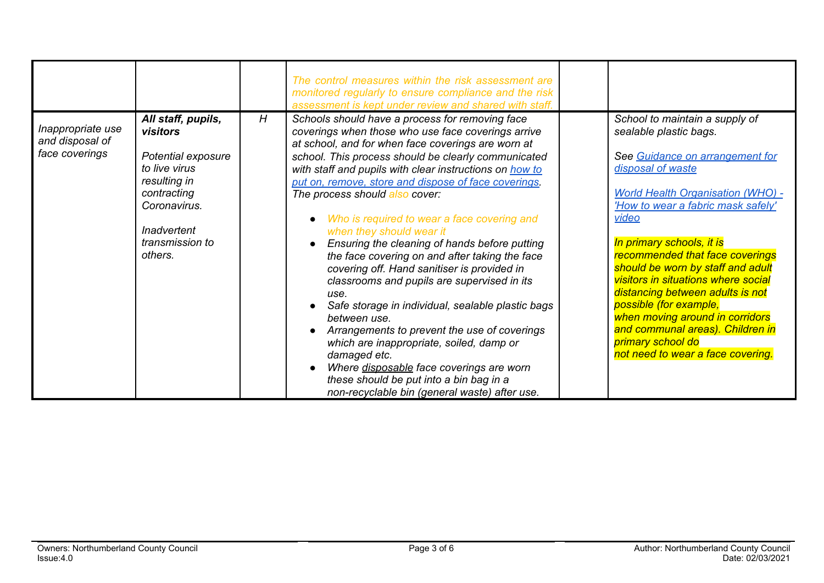<span id="page-2-0"></span>

|                                                        |                                                                                                                                                                          |   | The control measures within the risk assessment are<br>monitored regularly to ensure compliance and the risk<br>assessment is kept under review and shared with staff.                                                                                                                                                                                                                                                                                                                                                                                                                                                                                                                                                                                                                                                                                                                                                                                                               |                                                                                                                                                                                                                                                                                                                                                                                                                                                                                                                                                                      |
|--------------------------------------------------------|--------------------------------------------------------------------------------------------------------------------------------------------------------------------------|---|--------------------------------------------------------------------------------------------------------------------------------------------------------------------------------------------------------------------------------------------------------------------------------------------------------------------------------------------------------------------------------------------------------------------------------------------------------------------------------------------------------------------------------------------------------------------------------------------------------------------------------------------------------------------------------------------------------------------------------------------------------------------------------------------------------------------------------------------------------------------------------------------------------------------------------------------------------------------------------------|----------------------------------------------------------------------------------------------------------------------------------------------------------------------------------------------------------------------------------------------------------------------------------------------------------------------------------------------------------------------------------------------------------------------------------------------------------------------------------------------------------------------------------------------------------------------|
| Inappropriate use<br>and disposal of<br>face coverings | All staff, pupils,<br><b>visitors</b><br>Potential exposure<br>to live virus<br>resulting in<br>contracting<br>Coronavirus.<br>Inadvertent<br>transmission to<br>others. | H | Schools should have a process for removing face<br>coverings when those who use face coverings arrive<br>at school, and for when face coverings are worn at<br>school. This process should be clearly communicated<br>with staff and pupils with clear instructions on how to<br>put on, remove, store and dispose of face coverings.<br>The process should also cover:<br>Who is required to wear a face covering and<br>when they should wear it<br>Ensuring the cleaning of hands before putting<br>the face covering on and after taking the face<br>covering off. Hand sanitiser is provided in<br>classrooms and pupils are supervised in its<br>use.<br>Safe storage in individual, sealable plastic bags<br>between use.<br>Arrangements to prevent the use of coverings<br>which are inappropriate, soiled, damp or<br>damaged etc.<br>Where disposable face coverings are worn<br>these should be put into a bin bag in a<br>non-recyclable bin (general waste) after use. | School to maintain a supply of<br>sealable plastic bags.<br>See Guidance on arrangement for<br>disposal of waste<br><b>World Health Organisation (WHO) -</b><br>'How to wear a fabric mask safely'<br><u>video</u><br>In primary schools, it is<br>recommended that face coverings<br>should be worn by staff and adult<br><b>visitors in situations where social</b><br>distancing between adults is not<br>possible (for example,<br>when moving around in corridors<br>and communal areas). Children in<br>primary school do<br>not need to wear a face covering. |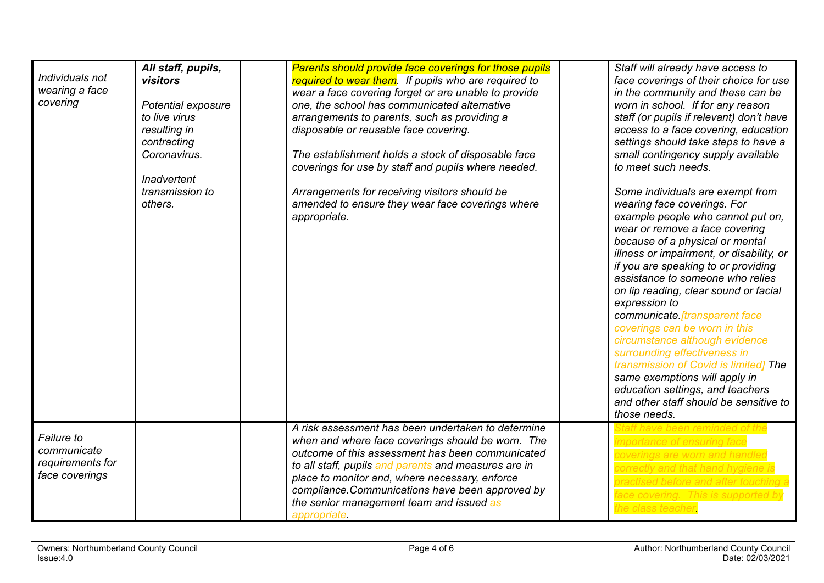<span id="page-3-1"></span><span id="page-3-0"></span>

| Individuals not<br>wearing a face<br>covering                   | All staff, pupils,<br>visitors<br>Potential exposure<br>to live virus<br>resulting in<br>contracting<br>Coronavirus.<br>Inadvertent<br>transmission to<br>others. | <b>Parents should provide face coverings for those pupils</b><br>required to wear them. If pupils who are required to<br>wear a face covering forget or are unable to provide<br>one, the school has communicated alternative<br>arrangements to parents, such as providing a<br>disposable or reusable face covering.<br>The establishment holds a stock of disposable face<br>coverings for use by staff and pupils where needed.<br>Arrangements for receiving visitors should be<br>amended to ensure they wear face coverings where<br>appropriate. | Staff will already have access to<br>face coverings of their choice for use<br>in the community and these can be<br>worn in school. If for any reason<br>staff (or pupils if relevant) don't have<br>access to a face covering, education<br>settings should take steps to have a<br>small contingency supply available<br>to meet such needs.<br>Some individuals are exempt from<br>wearing face coverings. For<br>example people who cannot put on,<br>wear or remove a face covering<br>because of a physical or mental<br>illness or impairment, or disability, or<br>if you are speaking to or providing<br>assistance to someone who relies<br>on lip reading, clear sound or facial<br>expression to<br>communicate [transparent face<br>coverings can be worn in this<br>circumstance although evidence<br>surrounding effectiveness in<br>transmission of Covid is limited] The<br>same exemptions will apply in<br>education settings, and teachers<br>and other staff should be sensitive to<br>those needs. |
|-----------------------------------------------------------------|-------------------------------------------------------------------------------------------------------------------------------------------------------------------|----------------------------------------------------------------------------------------------------------------------------------------------------------------------------------------------------------------------------------------------------------------------------------------------------------------------------------------------------------------------------------------------------------------------------------------------------------------------------------------------------------------------------------------------------------|--------------------------------------------------------------------------------------------------------------------------------------------------------------------------------------------------------------------------------------------------------------------------------------------------------------------------------------------------------------------------------------------------------------------------------------------------------------------------------------------------------------------------------------------------------------------------------------------------------------------------------------------------------------------------------------------------------------------------------------------------------------------------------------------------------------------------------------------------------------------------------------------------------------------------------------------------------------------------------------------------------------------------|
| Failure to<br>communicate<br>requirements for<br>face coverings |                                                                                                                                                                   | A risk assessment has been undertaken to determine<br>when and where face coverings should be worn. The<br>outcome of this assessment has been communicated<br>to all staff, pupils and parents and measures are in<br>place to monitor and, where necessary, enforce<br>compliance. Communications have been approved by<br>the senior management team and issued as<br>appropriate.                                                                                                                                                                    | portance of ensuring face<br>ctised before and after touching .<br>ace covering. This is supported by<br>the class teacher                                                                                                                                                                                                                                                                                                                                                                                                                                                                                                                                                                                                                                                                                                                                                                                                                                                                                               |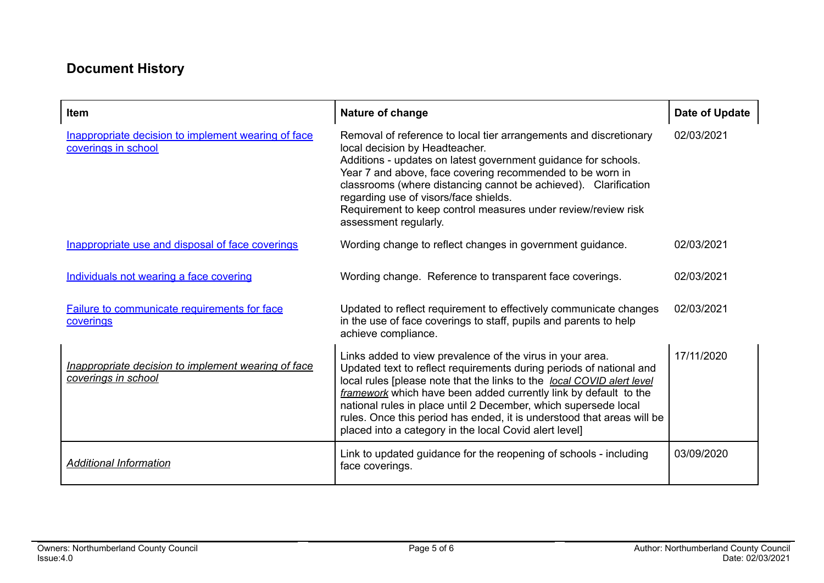## **Document History**

| Item                                                                       | Nature of change                                                                                                                                                                                                                                                                                                                                                                                                                                                                      | Date of Update |
|----------------------------------------------------------------------------|---------------------------------------------------------------------------------------------------------------------------------------------------------------------------------------------------------------------------------------------------------------------------------------------------------------------------------------------------------------------------------------------------------------------------------------------------------------------------------------|----------------|
| Inappropriate decision to implement wearing of face<br>coverings in school | Removal of reference to local tier arrangements and discretionary<br>local decision by Headteacher.<br>Additions - updates on latest government guidance for schools.<br>Year 7 and above, face covering recommended to be worn in<br>classrooms (where distancing cannot be achieved). Clarification<br>regarding use of visors/face shields.<br>Requirement to keep control measures under review/review risk<br>assessment regularly.                                              | 02/03/2021     |
| Inappropriate use and disposal of face coverings                           | Wording change to reflect changes in government guidance.                                                                                                                                                                                                                                                                                                                                                                                                                             | 02/03/2021     |
| Individuals not wearing a face covering                                    | Wording change. Reference to transparent face coverings.                                                                                                                                                                                                                                                                                                                                                                                                                              | 02/03/2021     |
| Failure to communicate requirements for face<br>coverings                  | Updated to reflect requirement to effectively communicate changes<br>in the use of face coverings to staff, pupils and parents to help<br>achieve compliance.                                                                                                                                                                                                                                                                                                                         | 02/03/2021     |
| Inappropriate decision to implement wearing of face<br>coverings in school | Links added to view prevalence of the virus in your area.<br>Updated text to reflect requirements during periods of national and<br>local rules [please note that the links to the local COVID alert level<br>framework which have been added currently link by default to the<br>national rules in place until 2 December, which supersede local<br>rules. Once this period has ended, it is understood that areas will be<br>placed into a category in the local Covid alert level] | 17/11/2020     |
| <b>Additional Information</b>                                              | Link to updated guidance for the reopening of schools - including<br>face coverings.                                                                                                                                                                                                                                                                                                                                                                                                  | 03/09/2020     |